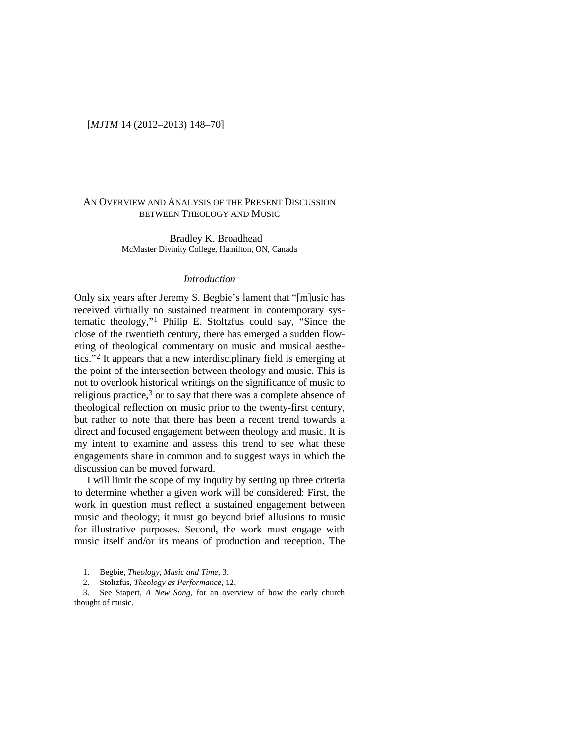# [*MJTM* 14 (2012–2013) 148–70]

# AN OVERVIEW AND ANALYSIS OF THE PRESENT DISCUSSION BETWEEN THEOLOGY AND MUSIC

Bradley K. Broadhead McMaster Divinity College, Hamilton, ON, Canada

### *Introduction*

Only six years after Jeremy S. Begbie's lament that "[m]usic has received virtually no sustained treatment in contemporary systematic theology,"[1](#page-0-0) Philip E. Stoltzfus could say, "Since the close of the twentieth century, there has emerged a sudden flowering of theological commentary on music and musical aesthetics."[2](#page-0-1) It appears that a new interdisciplinary field is emerging at the point of the intersection between theology and music. This is not to overlook historical writings on the significance of music to religious practice, $3$  or to say that there was a complete absence of theological reflection on music prior to the twenty-first century, but rather to note that there has been a recent trend towards a direct and focused engagement between theology and music. It is my intent to examine and assess this trend to see what these engagements share in common and to suggest ways in which the discussion can be moved forward.

I will limit the scope of my inquiry by setting up three criteria to determine whether a given work will be considered: First, the work in question must reflect a sustained engagement between music and theology; it must go beyond brief allusions to music for illustrative purposes. Second, the work must engage with music itself and/or its means of production and reception. The

1. Begbie, *Theology, Music and Time*, 3.

2. Stoltzfus, *Theology as Performance*, 12.

<span id="page-0-2"></span><span id="page-0-1"></span><span id="page-0-0"></span>3. See Stapert, *A New Song*, for an overview of how the early church thought of music.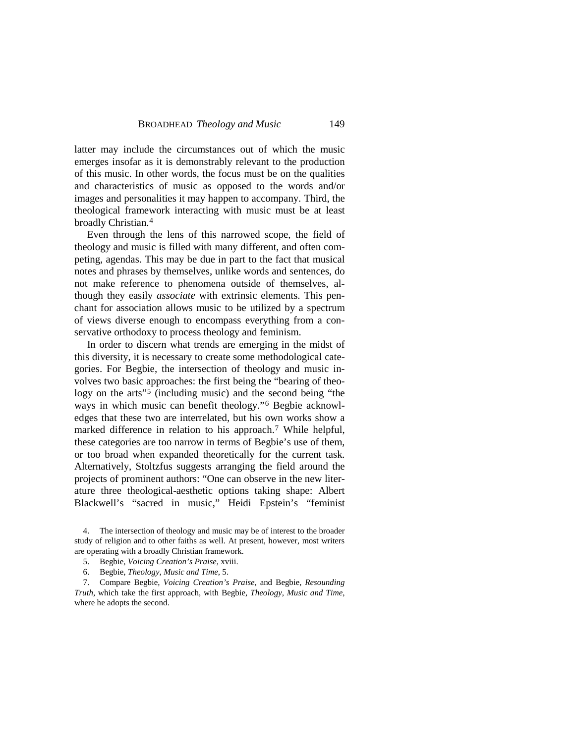latter may include the circumstances out of which the music emerges insofar as it is demonstrably relevant to the production of this music. In other words, the focus must be on the qualities and characteristics of music as opposed to the words and/or images and personalities it may happen to accompany. Third, the theological framework interacting with music must be at least broadly Christian.[4](#page-1-0)

Even through the lens of this narrowed scope, the field of theology and music is filled with many different, and often competing, agendas. This may be due in part to the fact that musical notes and phrases by themselves, unlike words and sentences, do not make reference to phenomena outside of themselves, although they easily *associate* with extrinsic elements. This penchant for association allows music to be utilized by a spectrum of views diverse enough to encompass everything from a conservative orthodoxy to process theology and feminism.

In order to discern what trends are emerging in the midst of this diversity, it is necessary to create some methodological categories. For Begbie, the intersection of theology and music involves two basic approaches: the first being the "bearing of theo-logy on the arts<sup>"[5](#page-1-1)</sup> (including music) and the second being "the ways in which music can benefit theology."[6](#page-1-2) Begbie acknowledges that these two are interrelated, but his own works show a marked difference in relation to his approach.<sup>[7](#page-1-3)</sup> While helpful, these categories are too narrow in terms of Begbie's use of them, or too broad when expanded theoretically for the current task. Alternatively, Stoltzfus suggests arranging the field around the projects of prominent authors: "One can observe in the new literature three theological-aesthetic options taking shape: Albert Blackwell's "sacred in music," Heidi Epstein's "feminist

<span id="page-1-0"></span>4. The intersection of theology and music may be of interest to the broader study of religion and to other faiths as well. At present, however, most writers are operating with a broadly Christian framework.

6. Begbie, *Theology, Music and Time*, 5.

<span id="page-1-3"></span><span id="page-1-2"></span><span id="page-1-1"></span>7. Compare Begbie, *Voicing Creation's Praise*, and Begbie, *Resounding Truth*, which take the first approach, with Begbie, *Theology, Music and Time*, where he adopts the second.

<sup>5.</sup> Begbie, *Voicing Creation's Praise*, xviii.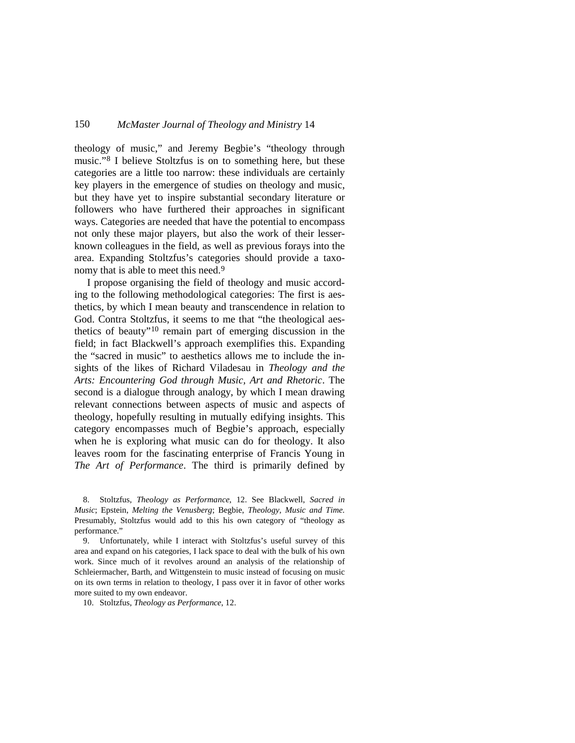theology of music," and Jeremy Begbie's "theology through music."[8](#page-2-0) I believe Stoltzfus is on to something here, but these categories are a little too narrow: these individuals are certainly key players in the emergence of studies on theology and music, but they have yet to inspire substantial secondary literature or followers who have furthered their approaches in significant ways. Categories are needed that have the potential to encompass not only these major players, but also the work of their lesserknown colleagues in the field, as well as previous forays into the area. Expanding Stoltzfus's categories should provide a taxonomy that is able to meet this need.<sup>9</sup>

I propose organising the field of theology and music according to the following methodological categories: The first is aesthetics, by which I mean beauty and transcendence in relation to God. Contra Stoltzfus, it seems to me that "the theological aes-thetics of beauty"<sup>[10](#page-2-2)</sup> remain part of emerging discussion in the field; in fact Blackwell's approach exemplifies this. Expanding the "sacred in music" to aesthetics allows me to include the insights of the likes of Richard Viladesau in *Theology and the Arts: Encountering God through Music, Art and Rhetoric*. The second is a dialogue through analogy, by which I mean drawing relevant connections between aspects of music and aspects of theology, hopefully resulting in mutually edifying insights. This category encompasses much of Begbie's approach, especially when he is exploring what music can do for theology. It also leaves room for the fascinating enterprise of Francis Young in *The Art of Performance*. The third is primarily defined by

<span id="page-2-0"></span>8. Stoltzfus, *Theology as Performance*, 12. See Blackwell, *Sacred in Music*; Epstein, *Melting the Venusberg*; Begbie, *Theology, Music and Time*. Presumably, Stoltzfus would add to this his own category of "theology as performance."

<span id="page-2-1"></span>9. Unfortunately, while I interact with Stoltzfus's useful survey of this area and expand on his categories, I lack space to deal with the bulk of his own work. Since much of it revolves around an analysis of the relationship of Schleiermacher, Barth, and Wittgenstein to music instead of focusing on music on its own terms in relation to theology, I pass over it in favor of other works more suited to my own endeavor.

<span id="page-2-2"></span>10. Stoltzfus, *Theology as Performance*, 12.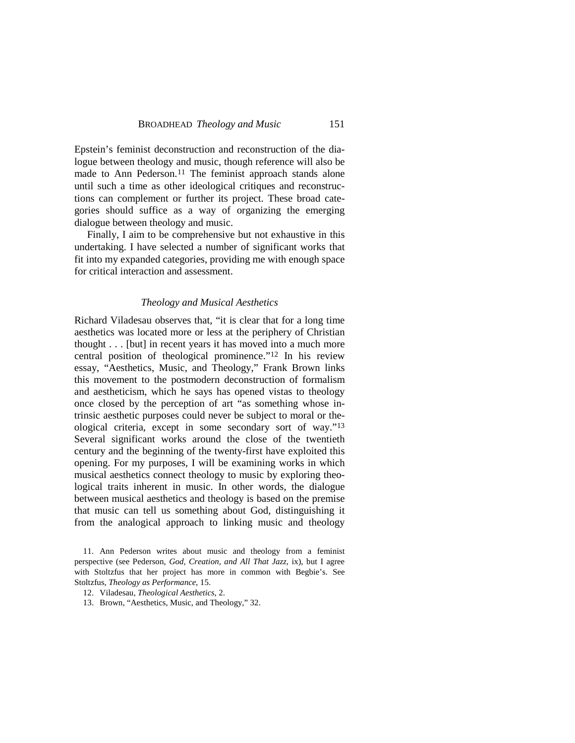Epstein's feminist deconstruction and reconstruction of the dialogue between theology and music, though reference will also be made to Ann Pederson.<sup>[11](#page-3-0)</sup> The feminist approach stands alone until such a time as other ideological critiques and reconstructions can complement or further its project. These broad categories should suffice as a way of organizing the emerging dialogue between theology and music.

Finally, I aim to be comprehensive but not exhaustive in this undertaking. I have selected a number of significant works that fit into my expanded categories, providing me with enough space for critical interaction and assessment.

### *Theology and Musical Aesthetics*

Richard Viladesau observes that, "it is clear that for a long time aesthetics was located more or less at the periphery of Christian thought . . . [but] in recent years it has moved into a much more central position of theological prominence."[12](#page-3-1) In his review essay, "Aesthetics, Music, and Theology," Frank Brown links this movement to the postmodern deconstruction of formalism and aestheticism, which he says has opened vistas to theology once closed by the perception of art "as something whose intrinsic aesthetic purposes could never be subject to moral or theological criteria, except in some secondary sort of way."[13](#page-3-2) Several significant works around the close of the twentieth century and the beginning of the twenty-first have exploited this opening. For my purposes, I will be examining works in which musical aesthetics connect theology to music by exploring theological traits inherent in music. In other words, the dialogue between musical aesthetics and theology is based on the premise that music can tell us something about God, distinguishing it from the analogical approach to linking music and theology

<span id="page-3-0"></span>11. Ann Pederson writes about music and theology from a feminist perspective (see Pederson, *God, Creation, and All That Jazz*, ix), but I agree with Stoltzfus that her project has more in common with Begbie's. See Stoltzfus, *Theology as Performance*, 15.

12. Viladesau, *Theological Aesthetics*, 2.

<span id="page-3-2"></span><span id="page-3-1"></span>13. Brown, "Aesthetics, Music, and Theology," 32.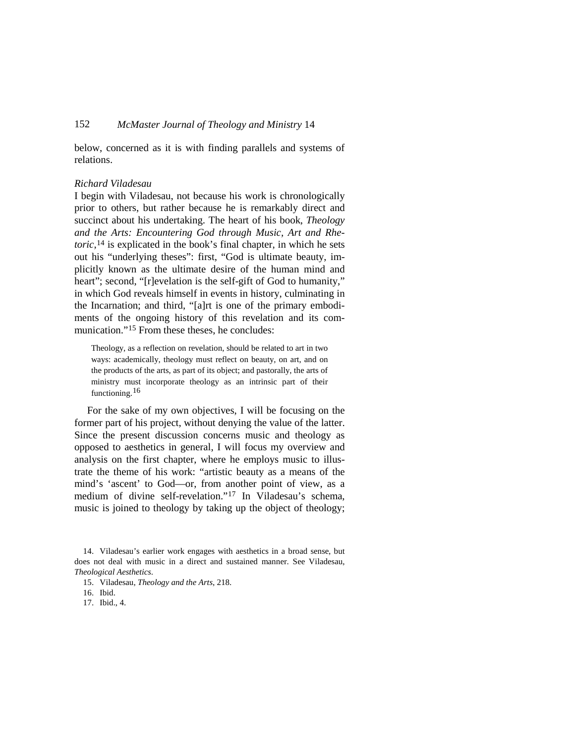below, concerned as it is with finding parallels and systems of relations.

### *Richard Viladesau*

I begin with Viladesau, not because his work is chronologically prior to others, but rather because he is remarkably direct and succinct about his undertaking. The heart of his book, *Theology and the Arts: Encountering God through Music, Art and Rhetoric*,<sup>[14](#page-4-0)</sup> is explicated in the book's final chapter, in which he sets out his "underlying theses": first, "God is ultimate beauty, implicitly known as the ultimate desire of the human mind and heart"; second, "[r]evelation is the self-gift of God to humanity," in which God reveals himself in events in history, culminating in the Incarnation; and third, "[a]rt is one of the primary embodiments of the ongoing history of this revelation and its communication."[15](#page-4-1) From these theses, he concludes:

Theology, as a reflection on revelation, should be related to art in two ways: academically, theology must reflect on beauty, on art, and on the products of the arts, as part of its object; and pastorally, the arts of ministry must incorporate theology as an intrinsic part of their functioning.<sup>[16](#page-4-2)</sup>

For the sake of my own objectives, I will be focusing on the former part of his project, without denying the value of the latter. Since the present discussion concerns music and theology as opposed to aesthetics in general, I will focus my overview and analysis on the first chapter, where he employs music to illustrate the theme of his work: "artistic beauty as a means of the mind's 'ascent' to God—or, from another point of view, as a medium of divine self-revelation."[17](#page-4-3) In Viladesau's schema, music is joined to theology by taking up the object of theology;

<span id="page-4-1"></span><span id="page-4-0"></span>14. Viladesau's earlier work engages with aesthetics in a broad sense, but does not deal with music in a direct and sustained manner. See Viladesau, *Theological Aesthetics*.

<span id="page-4-3"></span><span id="page-4-2"></span>17. Ibid., 4.

<sup>15.</sup> Viladesau, *Theology and the Arts*, 218.

<sup>16.</sup> Ibid.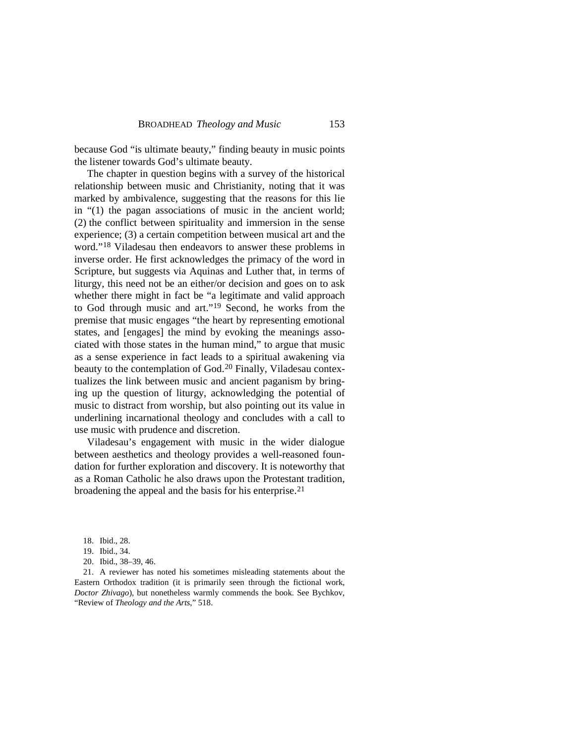because God "is ultimate beauty," finding beauty in music points the listener towards God's ultimate beauty.

The chapter in question begins with a survey of the historical relationship between music and Christianity, noting that it was marked by ambivalence, suggesting that the reasons for this lie in "(1) the pagan associations of music in the ancient world; (2) the conflict between spirituality and immersion in the sense experience; (3) a certain competition between musical art and the word."[18](#page-5-0) Viladesau then endeavors to answer these problems in inverse order. He first acknowledges the primacy of the word in Scripture, but suggests via Aquinas and Luther that, in terms of liturgy, this need not be an either/or decision and goes on to ask whether there might in fact be "a legitimate and valid approach to God through music and art.["19](#page-5-1) Second, he works from the premise that music engages "the heart by representing emotional states, and [engages] the mind by evoking the meanings associated with those states in the human mind," to argue that music as a sense experience in fact leads to a spiritual awakening via beauty to the contemplation of God.<sup>[20](#page-5-2)</sup> Finally, Viladesau contextualizes the link between music and ancient paganism by bringing up the question of liturgy, acknowledging the potential of music to distract from worship, but also pointing out its value in underlining incarnational theology and concludes with a call to use music with prudence and discretion.

Viladesau's engagement with music in the wider dialogue between aesthetics and theology provides a well-reasoned foundation for further exploration and discovery. It is noteworthy that as a Roman Catholic he also draws upon the Protestant tradition, broadening the appeal and the basis for his enterprise. [21](#page-5-3)

20. Ibid., 38–39, 46.

<span id="page-5-3"></span><span id="page-5-2"></span><span id="page-5-1"></span><span id="page-5-0"></span>21. A reviewer has noted his sometimes misleading statements about the Eastern Orthodox tradition (it is primarily seen through the fictional work, *Doctor Zhivago*), but nonetheless warmly commends the book. See Bychkov, "Review of *Theology and the Arts*," 518.

<sup>18.</sup> Ibid., 28.

<sup>19.</sup> Ibid., 34.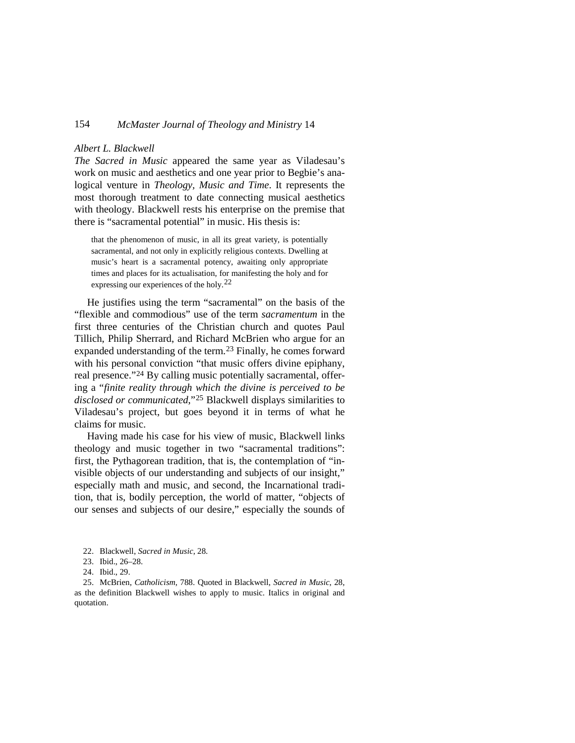### *Albert L. Blackwell*

*The Sacred in Music* appeared the same year as Viladesau's work on music and aesthetics and one year prior to Begbie's analogical venture in *Theology, Music and Time*. It represents the most thorough treatment to date connecting musical aesthetics with theology. Blackwell rests his enterprise on the premise that there is "sacramental potential" in music. His thesis is:

that the phenomenon of music, in all its great variety, is potentially sacramental, and not only in explicitly religious contexts. Dwelling at music's heart is a sacramental potency, awaiting only appropriate times and places for its actualisation, for manifesting the holy and for expressing our experiences of the holy.<sup>[22](#page-6-0)</sup>

He justifies using the term "sacramental" on the basis of the "flexible and commodious" use of the term *sacramentum* in the first three centuries of the Christian church and quotes Paul Tillich, Philip Sherrard, and Richard McBrien who argue for an expanded understanding of the term.<sup>[23](#page-6-1)</sup> Finally, he comes forward with his personal conviction "that music offers divine epiphany, real presence."[24](#page-6-2) By calling music potentially sacramental, offering a "*finite reality through which the divine is perceived to be disclosed or communicated*,"[25](#page-6-3) Blackwell displays similarities to Viladesau's project, but goes beyond it in terms of what he claims for music.

Having made his case for his view of music, Blackwell links theology and music together in two "sacramental traditions": first, the Pythagorean tradition, that is, the contemplation of "invisible objects of our understanding and subjects of our insight," especially math and music, and second, the Incarnational tradition, that is, bodily perception, the world of matter, "objects of our senses and subjects of our desire," especially the sounds of

<span id="page-6-3"></span><span id="page-6-2"></span><span id="page-6-1"></span><span id="page-6-0"></span>25. McBrien, *Catholicism*, 788. Quoted in Blackwell, *Sacred in Music*, 28, as the definition Blackwell wishes to apply to music. Italics in original and quotation.

<sup>22.</sup> Blackwell, *Sacred in Music*, 28.

<sup>23.</sup> Ibid., 26–28.

<sup>24.</sup> Ibid., 29.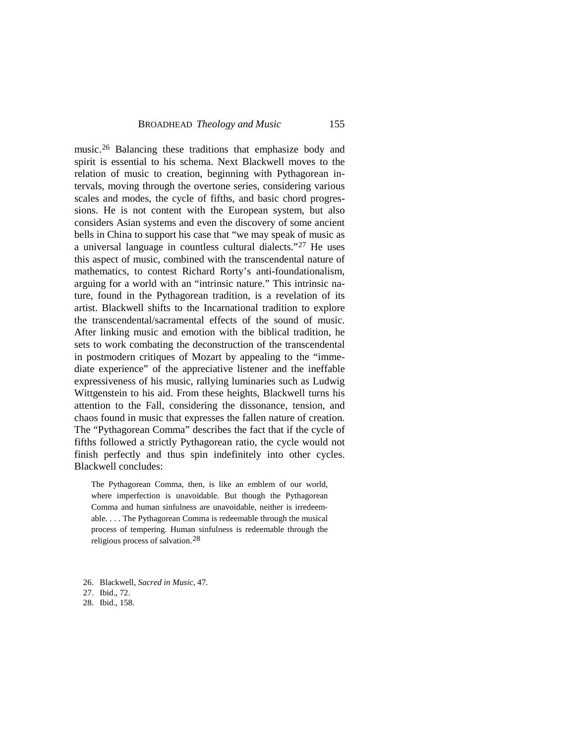music.[26](#page-7-0) Balancing these traditions that emphasize body and spirit is essential to his schema. Next Blackwell moves to the relation of music to creation, beginning with Pythagorean intervals, moving through the overtone series, considering various scales and modes, the cycle of fifths, and basic chord progressions. He is not content with the European system, but also considers Asian systems and even the discovery of some ancient bells in China to support his case that "we may speak of music as a universal language in countless cultural dialects."[27](#page-7-1) He uses this aspect of music, combined with the transcendental nature of mathematics, to contest Richard Rorty's anti-foundationalism, arguing for a world with an "intrinsic nature." This intrinsic nature, found in the Pythagorean tradition, is a revelation of its artist. Blackwell shifts to the Incarnational tradition to explore the transcendental/sacramental effects of the sound of music. After linking music and emotion with the biblical tradition, he sets to work combating the deconstruction of the transcendental in postmodern critiques of Mozart by appealing to the "immediate experience" of the appreciative listener and the ineffable expressiveness of his music, rallying luminaries such as Ludwig Wittgenstein to his aid. From these heights, Blackwell turns his attention to the Fall, considering the dissonance, tension, and chaos found in music that expresses the fallen nature of creation. The "Pythagorean Comma" describes the fact that if the cycle of fifths followed a strictly Pythagorean ratio, the cycle would not finish perfectly and thus spin indefinitely into other cycles. Blackwell concludes:

The Pythagorean Comma, then, is like an emblem of our world, where imperfection is unavoidable. But though the Pythagorean Comma and human sinfulness are unavoidable, neither is irredeemable. . . . The Pythagorean Comma is redeemable through the musical process of tempering. Human sinfulness is redeemable through the religious process of salvation. [28](#page-7-2)

<span id="page-7-2"></span>28. Ibid., 158.

<span id="page-7-0"></span><sup>26.</sup> Blackwell, *Sacred in Music*, 47.

<span id="page-7-1"></span><sup>27.</sup> Ibid., 72.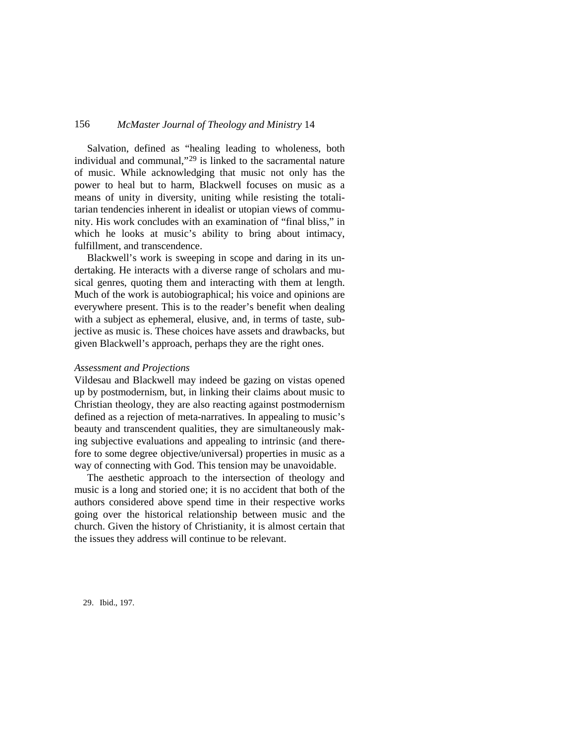Salvation, defined as "healing leading to wholeness, both individual and communal,"[29](#page-8-0) is linked to the sacramental nature of music. While acknowledging that music not only has the power to heal but to harm, Blackwell focuses on music as a means of unity in diversity, uniting while resisting the totalitarian tendencies inherent in idealist or utopian views of community. His work concludes with an examination of "final bliss," in which he looks at music's ability to bring about intimacy, fulfillment, and transcendence.

Blackwell's work is sweeping in scope and daring in its undertaking. He interacts with a diverse range of scholars and musical genres, quoting them and interacting with them at length. Much of the work is autobiographical; his voice and opinions are everywhere present. This is to the reader's benefit when dealing with a subject as ephemeral, elusive, and, in terms of taste, subjective as music is. These choices have assets and drawbacks, but given Blackwell's approach, perhaps they are the right ones.

#### *Assessment and Projections*

Vildesau and Blackwell may indeed be gazing on vistas opened up by postmodernism, but, in linking their claims about music to Christian theology, they are also reacting against postmodernism defined as a rejection of meta-narratives. In appealing to music's beauty and transcendent qualities, they are simultaneously making subjective evaluations and appealing to intrinsic (and therefore to some degree objective/universal) properties in music as a way of connecting with God. This tension may be unavoidable.

The aesthetic approach to the intersection of theology and music is a long and storied one; it is no accident that both of the authors considered above spend time in their respective works going over the historical relationship between music and the church. Given the history of Christianity, it is almost certain that the issues they address will continue to be relevant.

<span id="page-8-0"></span>29. Ibid., 197.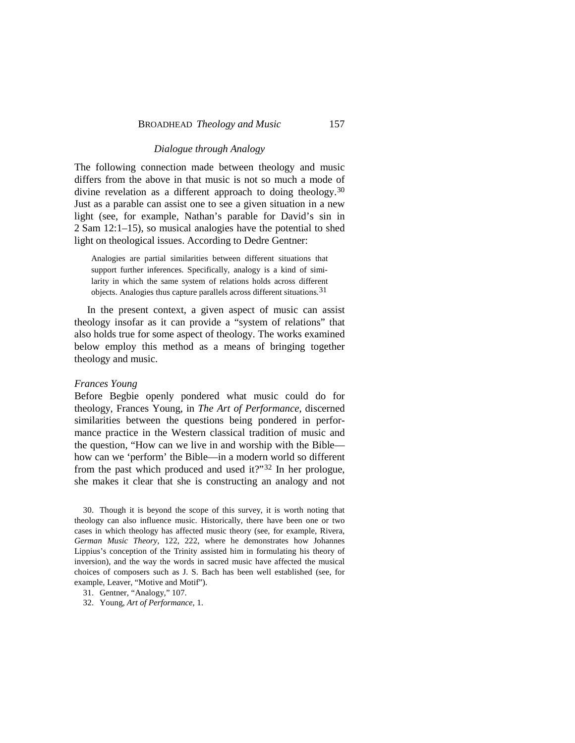### *Dialogue through Analogy*

The following connection made between theology and music differs from the above in that music is not so much a mode of divine revelation as a different approach to doing theology.[30](#page-9-0) Just as a parable can assist one to see a given situation in a new light (see, for example, Nathan's parable for David's sin in 2 Sam 12:1–15), so musical analogies have the potential to shed light on theological issues. According to Dedre Gentner:

Analogies are partial similarities between different situations that support further inferences. Specifically, analogy is a kind of similarity in which the same system of relations holds across different objects. Analogies thus capture parallels across different situations. [31](#page-9-1)

In the present context, a given aspect of music can assist theology insofar as it can provide a "system of relations" that also holds true for some aspect of theology. The works examined below employ this method as a means of bringing together theology and music.

#### *Frances Young*

Before Begbie openly pondered what music could do for theology, Frances Young, in *The Art of Performance*, discerned similarities between the questions being pondered in performance practice in the Western classical tradition of music and the question, "How can we live in and worship with the Bible how can we 'perform' the Bible—in a modern world so different from the past which produced and used it?"<sup>[32](#page-9-2)</sup> In her prologue, she makes it clear that she is constructing an analogy and not

<span id="page-9-0"></span>30. Though it is beyond the scope of this survey, it is worth noting that theology can also influence music. Historically, there have been one or two cases in which theology has affected music theory (see, for example, Rivera, *German Music Theory*, 122, 222, where he demonstrates how Johannes Lippius's conception of the Trinity assisted him in formulating his theory of inversion), and the way the words in sacred music have affected the musical choices of composers such as J. S. Bach has been well established (see, for example, Leaver, "Motive and Motif").

<span id="page-9-1"></span>31. Gentner, "Analogy," 107.

<span id="page-9-2"></span>32. Young, *Art of Performance*, 1.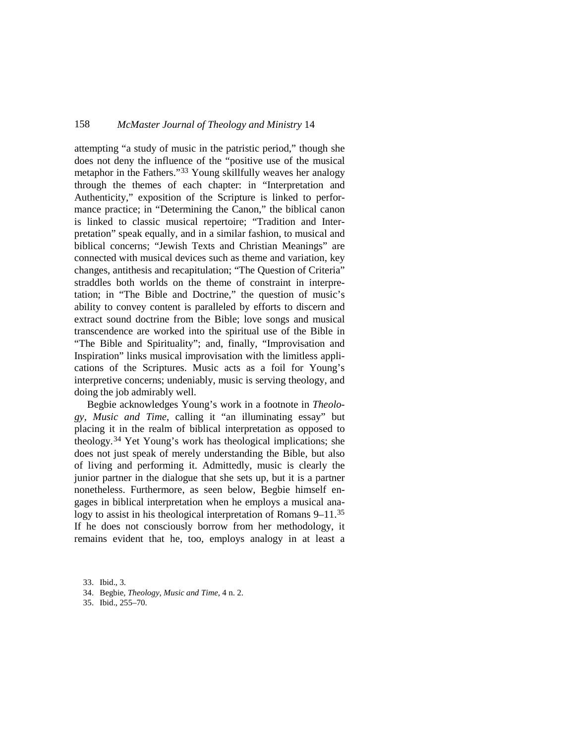attempting "a study of music in the patristic period," though she does not deny the influence of the "positive use of the musical metaphor in the Fathers."[33](#page-10-0) Young skillfully weaves her analogy through the themes of each chapter: in "Interpretation and Authenticity," exposition of the Scripture is linked to performance practice; in "Determining the Canon," the biblical canon is linked to classic musical repertoire; "Tradition and Interpretation" speak equally, and in a similar fashion, to musical and biblical concerns; "Jewish Texts and Christian Meanings" are connected with musical devices such as theme and variation, key changes, antithesis and recapitulation; "The Question of Criteria" straddles both worlds on the theme of constraint in interpretation; in "The Bible and Doctrine," the question of music's ability to convey content is paralleled by efforts to discern and extract sound doctrine from the Bible; love songs and musical transcendence are worked into the spiritual use of the Bible in "The Bible and Spirituality"; and, finally, "Improvisation and Inspiration" links musical improvisation with the limitless applications of the Scriptures. Music acts as a foil for Young's interpretive concerns; undeniably, music is serving theology, and doing the job admirably well.

Begbie acknowledges Young's work in a footnote in *Theology, Music and Time*, calling it "an illuminating essay" but placing it in the realm of biblical interpretation as opposed to theology. [34](#page-10-1) Yet Young's work has theological implications; she does not just speak of merely understanding the Bible, but also of living and performing it. Admittedly, music is clearly the junior partner in the dialogue that she sets up, but it is a partner nonetheless. Furthermore, as seen below, Begbie himself engages in biblical interpretation when he employs a musical ana-logy to assist in his theological interpretation of Romans 9–11.<sup>[35](#page-10-2)</sup> If he does not consciously borrow from her methodology, it remains evident that he, too, employs analogy in at least a

<span id="page-10-0"></span>33. Ibid., 3.

<span id="page-10-2"></span><span id="page-10-1"></span>35. Ibid., 255–70.

<sup>34.</sup> Begbie, *Theology, Music and Time*, 4 n. 2.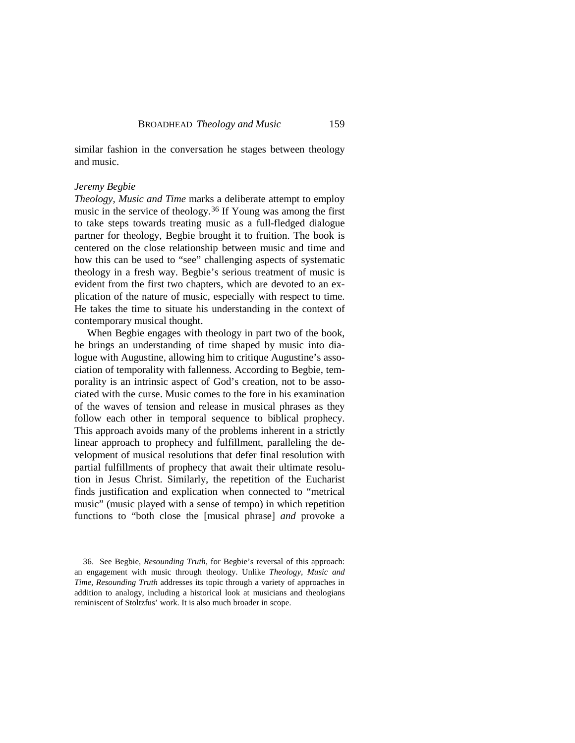similar fashion in the conversation he stages between theology and music.

### *Jeremy Begbie*

*Theology, Music and Time* marks a deliberate attempt to employ music in the service of theology.<sup>[36](#page-11-0)</sup> If Young was among the first to take steps towards treating music as a full-fledged dialogue partner for theology, Begbie brought it to fruition. The book is centered on the close relationship between music and time and how this can be used to "see" challenging aspects of systematic theology in a fresh way. Begbie's serious treatment of music is evident from the first two chapters, which are devoted to an explication of the nature of music, especially with respect to time. He takes the time to situate his understanding in the context of contemporary musical thought.

When Begbie engages with theology in part two of the book, he brings an understanding of time shaped by music into dialogue with Augustine, allowing him to critique Augustine's association of temporality with fallenness. According to Begbie, temporality is an intrinsic aspect of God's creation, not to be associated with the curse. Music comes to the fore in his examination of the waves of tension and release in musical phrases as they follow each other in temporal sequence to biblical prophecy. This approach avoids many of the problems inherent in a strictly linear approach to prophecy and fulfillment, paralleling the development of musical resolutions that defer final resolution with partial fulfillments of prophecy that await their ultimate resolution in Jesus Christ. Similarly, the repetition of the Eucharist finds justification and explication when connected to "metrical music" (music played with a sense of tempo) in which repetition functions to "both close the [musical phrase] *and* provoke a

<span id="page-11-0"></span><sup>36.</sup> See Begbie, *Resounding Truth*, for Begbie's reversal of this approach: an engagement with music through theology. Unlike *Theology, Music and Time*, *Resounding Truth* addresses its topic through a variety of approaches in addition to analogy, including a historical look at musicians and theologians reminiscent of Stoltzfus' work. It is also much broader in scope.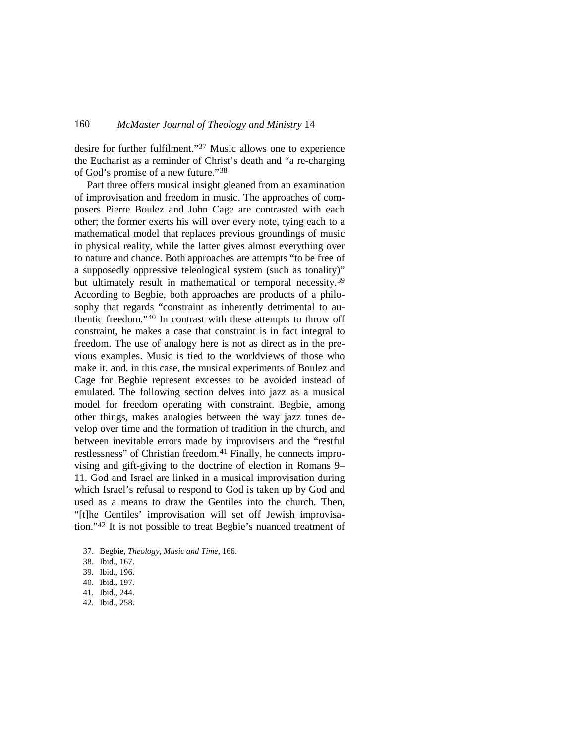desire for further fulfilment."[37](#page-12-0) Music allows one to experience the Eucharist as a reminder of Christ's death and "a re-charging of God's promise of a new future."[38](#page-12-1)

Part three offers musical insight gleaned from an examination of improvisation and freedom in music. The approaches of composers Pierre Boulez and John Cage are contrasted with each other; the former exerts his will over every note, tying each to a mathematical model that replaces previous groundings of music in physical reality, while the latter gives almost everything over to nature and chance. Both approaches are attempts "to be free of a supposedly oppressive teleological system (such as tonality)" but ultimately result in mathematical or temporal necessity.<sup>[39](#page-12-2)</sup> According to Begbie, both approaches are products of a philosophy that regards "constraint as inherently detrimental to authentic freedom."[40](#page-12-3) In contrast with these attempts to throw off constraint, he makes a case that constraint is in fact integral to freedom. The use of analogy here is not as direct as in the previous examples. Music is tied to the worldviews of those who make it, and, in this case, the musical experiments of Boulez and Cage for Begbie represent excesses to be avoided instead of emulated. The following section delves into jazz as a musical model for freedom operating with constraint. Begbie, among other things, makes analogies between the way jazz tunes develop over time and the formation of tradition in the church, and between inevitable errors made by improvisers and the "restful restlessness" of Christian freedom.<sup>[41](#page-12-4)</sup> Finally, he connects improvising and gift-giving to the doctrine of election in Romans 9– 11. God and Israel are linked in a musical improvisation during which Israel's refusal to respond to God is taken up by God and used as a means to draw the Gentiles into the church. Then, "[t]he Gentiles' improvisation will set off Jewish improvisation.["42](#page-12-5) It is not possible to treat Begbie's nuanced treatment of

- <span id="page-12-0"></span>37. Begbie, *Theology, Music and Time*, 166.
- <span id="page-12-1"></span>38. Ibid., 167.
- <span id="page-12-2"></span>39. Ibid., 196.
- <span id="page-12-3"></span>40. Ibid., 197.
- <span id="page-12-4"></span>41. Ibid., 244.
- <span id="page-12-5"></span>42. Ibid., 258.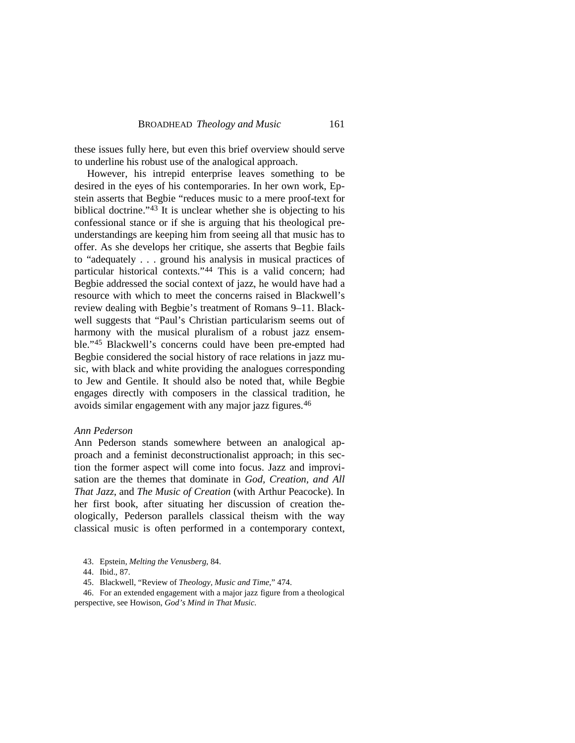these issues fully here, but even this brief overview should serve to underline his robust use of the analogical approach.

However, his intrepid enterprise leaves something to be desired in the eyes of his contemporaries. In her own work, Epstein asserts that Begbie "reduces music to a mere proof-text for biblical doctrine."[43](#page-13-0) It is unclear whether she is objecting to his confessional stance or if she is arguing that his theological preunderstandings are keeping him from seeing all that music has to offer. As she develops her critique, she asserts that Begbie fails to "adequately . . . ground his analysis in musical practices of particular historical contexts."[44](#page-13-1) This is a valid concern; had Begbie addressed the social context of jazz, he would have had a resource with which to meet the concerns raised in Blackwell's review dealing with Begbie's treatment of Romans 9–11. Blackwell suggests that "Paul's Christian particularism seems out of harmony with the musical pluralism of a robust jazz ensemble."[45](#page-13-2) Blackwell's concerns could have been pre-empted had Begbie considered the social history of race relations in jazz music, with black and white providing the analogues corresponding to Jew and Gentile. It should also be noted that, while Begbie engages directly with composers in the classical tradition, he avoids similar engagement with any major jazz figures.[46](#page-13-3)

### *Ann Pederson*

Ann Pederson stands somewhere between an analogical approach and a feminist deconstructionalist approach; in this section the former aspect will come into focus. Jazz and improvisation are the themes that dominate in *God, Creation, and All That Jazz*, and *The Music of Creation* (with Arthur Peacocke). In her first book, after situating her discussion of creation theologically, Pederson parallels classical theism with the way classical music is often performed in a contemporary context,

<span id="page-13-3"></span><span id="page-13-2"></span><span id="page-13-1"></span><span id="page-13-0"></span>46. For an extended engagement with a major jazz figure from a theological perspective, see Howison, *God's Mind in That Music*.

<sup>43.</sup> Epstein, *Melting the Venusberg*, 84.

<sup>44.</sup> Ibid., 87.

<sup>45.</sup> Blackwell, "Review of *Theology, Music and Time*," 474.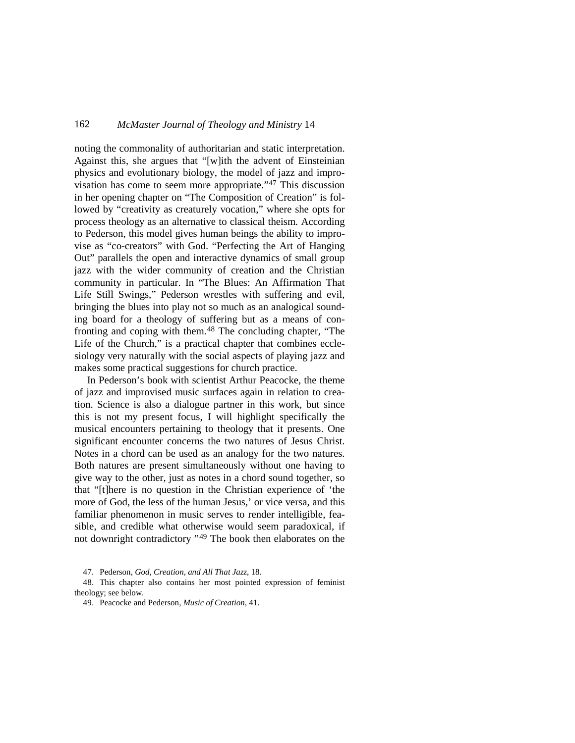noting the commonality of authoritarian and static interpretation. Against this, she argues that "[w]ith the advent of Einsteinian physics and evolutionary biology, the model of jazz and improvisation has come to seem more appropriate.["47](#page-14-0) This discussion in her opening chapter on "The Composition of Creation" is followed by "creativity as creaturely vocation," where she opts for process theology as an alternative to classical theism. According to Pederson, this model gives human beings the ability to improvise as "co-creators" with God. "Perfecting the Art of Hanging Out" parallels the open and interactive dynamics of small group jazz with the wider community of creation and the Christian community in particular. In "The Blues: An Affirmation That Life Still Swings," Pederson wrestles with suffering and evil, bringing the blues into play not so much as an analogical sounding board for a theology of suffering but as a means of con-fronting and coping with them.<sup>[48](#page-14-1)</sup> The concluding chapter, "The Life of the Church," is a practical chapter that combines ecclesiology very naturally with the social aspects of playing jazz and makes some practical suggestions for church practice.

In Pederson's book with scientist Arthur Peacocke, the theme of jazz and improvised music surfaces again in relation to creation. Science is also a dialogue partner in this work, but since this is not my present focus, I will highlight specifically the musical encounters pertaining to theology that it presents. One significant encounter concerns the two natures of Jesus Christ. Notes in a chord can be used as an analogy for the two natures. Both natures are present simultaneously without one having to give way to the other, just as notes in a chord sound together, so that "[t]here is no question in the Christian experience of 'the more of God, the less of the human Jesus,' or vice versa, and this familiar phenomenon in music serves to render intelligible, feasible, and credible what otherwise would seem paradoxical, if not downright contradictory " [49](#page-14-2) The book then elaborates on the

47. Pederson, *God, Creation, and All That Jazz*, 18.

<span id="page-14-2"></span><span id="page-14-1"></span><span id="page-14-0"></span>48. This chapter also contains her most pointed expression of feminist theology; see below.

49. Peacocke and Pederson, *Music of Creation*, 41.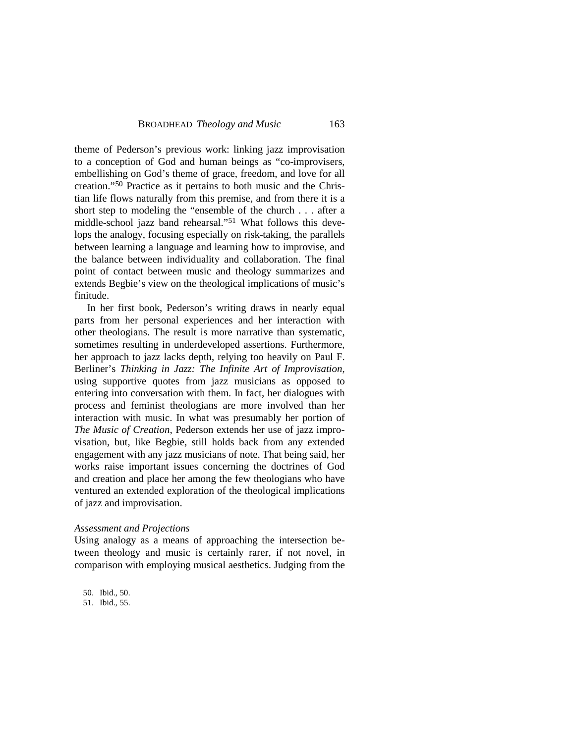theme of Pederson's previous work: linking jazz improvisation to a conception of God and human beings as "co-improvisers, embellishing on God's theme of grace, freedom, and love for all creation."[50](#page-15-0) Practice as it pertains to both music and the Christian life flows naturally from this premise, and from there it is a short step to modeling the "ensemble of the church . . . after a middle-school jazz band rehearsal."[51](#page-15-1) What follows this develops the analogy, focusing especially on risk-taking, the parallels between learning a language and learning how to improvise, and the balance between individuality and collaboration. The final point of contact between music and theology summarizes and extends Begbie's view on the theological implications of music's finitude.

In her first book, Pederson's writing draws in nearly equal parts from her personal experiences and her interaction with other theologians. The result is more narrative than systematic, sometimes resulting in underdeveloped assertions. Furthermore, her approach to jazz lacks depth, relying too heavily on Paul F. Berliner's *Thinking in Jazz: The Infinite Art of Improvisation*, using supportive quotes from jazz musicians as opposed to entering into conversation with them. In fact, her dialogues with process and feminist theologians are more involved than her interaction with music. In what was presumably her portion of *The Music of Creation*, Pederson extends her use of jazz improvisation, but, like Begbie, still holds back from any extended engagement with any jazz musicians of note. That being said, her works raise important issues concerning the doctrines of God and creation and place her among the few theologians who have ventured an extended exploration of the theological implications of jazz and improvisation.

### *Assessment and Projections*

Using analogy as a means of approaching the intersection between theology and music is certainly rarer, if not novel, in comparison with employing musical aesthetics. Judging from the

<span id="page-15-0"></span>50. Ibid., 50.

<span id="page-15-1"></span>51. Ibid., 55.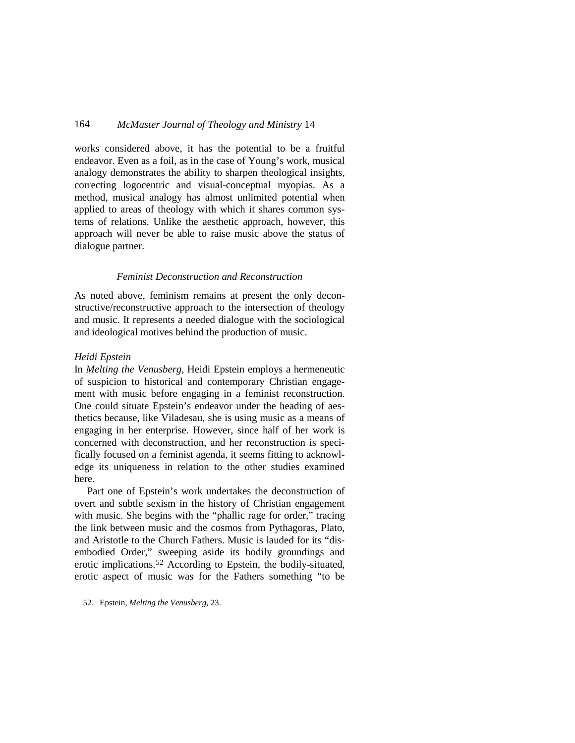works considered above, it has the potential to be a fruitful endeavor. Even as a foil, as in the case of Young's work, musical analogy demonstrates the ability to sharpen theological insights, correcting logocentric and visual-conceptual myopias. As a method, musical analogy has almost unlimited potential when applied to areas of theology with which it shares common systems of relations. Unlike the aesthetic approach, however, this approach will never be able to raise music above the status of dialogue partner.

### *Feminist Deconstruction and Reconstruction*

As noted above, feminism remains at present the only deconstructive/reconstructive approach to the intersection of theology and music. It represents a needed dialogue with the sociological and ideological motives behind the production of music.

## *Heidi Epstein*

In *Melting the Venusberg*, Heidi Epstein employs a hermeneutic of suspicion to historical and contemporary Christian engagement with music before engaging in a feminist reconstruction. One could situate Epstein's endeavor under the heading of aesthetics because, like Viladesau, she is using music as a means of engaging in her enterprise. However, since half of her work is concerned with deconstruction, and her reconstruction is specifically focused on a feminist agenda, it seems fitting to acknowledge its uniqueness in relation to the other studies examined here.

Part one of Epstein's work undertakes the deconstruction of overt and subtle sexism in the history of Christian engagement with music. She begins with the "phallic rage for order," tracing the link between music and the cosmos from Pythagoras, Plato, and Aristotle to the Church Fathers. Music is lauded for its "disembodied Order," sweeping aside its bodily groundings and erotic implications.<sup>[52](#page-16-0)</sup> According to Epstein, the bodily-situated, erotic aspect of music was for the Fathers something "to be

<span id="page-16-0"></span>52. Epstein, *Melting the Venusberg*, 23.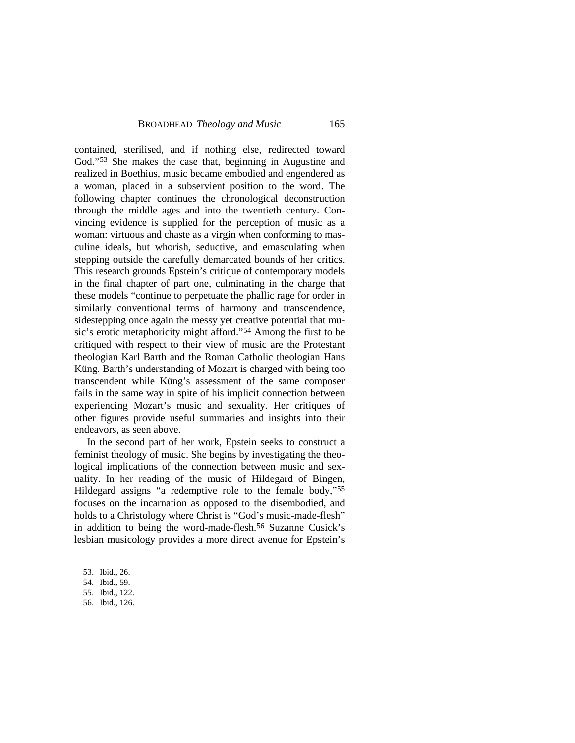contained, sterilised, and if nothing else, redirected toward God."[53](#page-17-0) She makes the case that, beginning in Augustine and realized in Boethius, music became embodied and engendered as a woman, placed in a subservient position to the word. The following chapter continues the chronological deconstruction through the middle ages and into the twentieth century. Convincing evidence is supplied for the perception of music as a woman: virtuous and chaste as a virgin when conforming to masculine ideals, but whorish, seductive, and emasculating when stepping outside the carefully demarcated bounds of her critics. This research grounds Epstein's critique of contemporary models in the final chapter of part one, culminating in the charge that these models "continue to perpetuate the phallic rage for order in similarly conventional terms of harmony and transcendence, sidestepping once again the messy yet creative potential that music's erotic metaphoricity might afford.["54](#page-17-1) Among the first to be critiqued with respect to their view of music are the Protestant theologian Karl Barth and the Roman Catholic theologian Hans Küng. Barth's understanding of Mozart is charged with being too transcendent while Küng's assessment of the same composer fails in the same way in spite of his implicit connection between experiencing Mozart's music and sexuality. Her critiques of other figures provide useful summaries and insights into their endeavors, as seen above.

In the second part of her work, Epstein seeks to construct a feminist theology of music. She begins by investigating the theological implications of the connection between music and sexuality. In her reading of the music of Hildegard of Bingen, Hildegard assigns "a redemptive role to the female body," [55](#page-17-2) focuses on the incarnation as opposed to the disembodied, and holds to a Christology where Christ is "God's music-made-flesh" in addition to being the word-made-flesh.<sup>56</sup> Suzanne Cusick's lesbian musicology provides a more direct avenue for Epstein's

- <span id="page-17-0"></span>53. Ibid., 26.
- <span id="page-17-1"></span>54. Ibid., 59.
- <span id="page-17-2"></span>55. Ibid., 122.
- <span id="page-17-3"></span>56. Ibid., 126.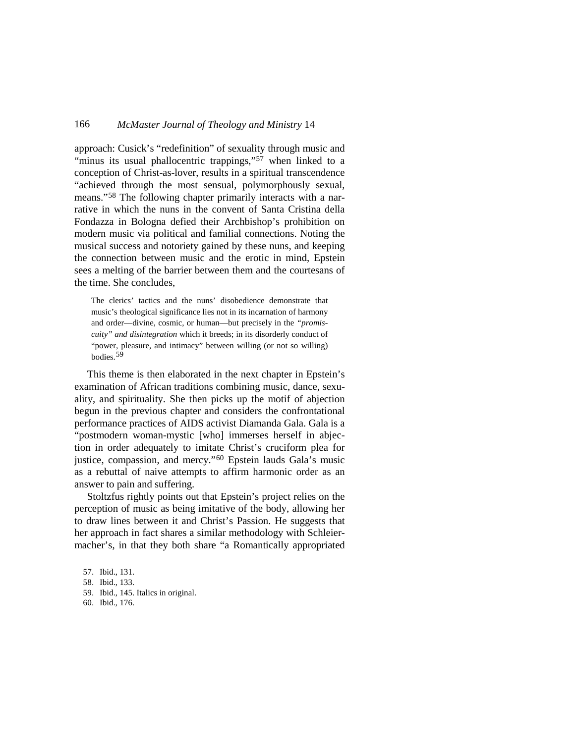approach: Cusick's "redefinition" of sexuality through music and "minus its usual phallocentric trappings,"<sup>[57](#page-18-0)</sup> when linked to a conception of Christ-as-lover, results in a spiritual transcendence "achieved through the most sensual, polymorphously sexual, means."<sup>[58](#page-18-1)</sup> The following chapter primarily interacts with a narrative in which the nuns in the convent of Santa Cristina della Fondazza in Bologna defied their Archbishop's prohibition on modern music via political and familial connections. Noting the musical success and notoriety gained by these nuns, and keeping the connection between music and the erotic in mind, Epstein sees a melting of the barrier between them and the courtesans of the time. She concludes,

The clerics' tactics and the nuns' disobedience demonstrate that music's theological significance lies not in its incarnation of harmony and order—divine, cosmic, or human—but precisely in the *"promiscuity" and disintegration* which it breeds; in its disorderly conduct of "power, pleasure, and intimacy" between willing (or not so willing) bodies. [59](#page-18-2)

This theme is then elaborated in the next chapter in Epstein's examination of African traditions combining music, dance, sexuality, and spirituality. She then picks up the motif of abjection begun in the previous chapter and considers the confrontational performance practices of AIDS activist Diamanda Gala. Gala is a "postmodern woman-mystic [who] immerses herself in abjection in order adequately to imitate Christ's cruciform plea for justice, compassion, and mercy."<sup>[60](#page-18-3)</sup> Epstein lauds Gala's music as a rebuttal of naive attempts to affirm harmonic order as an answer to pain and suffering.

Stoltzfus rightly points out that Epstein's project relies on the perception of music as being imitative of the body, allowing her to draw lines between it and Christ's Passion. He suggests that her approach in fact shares a similar methodology with Schleiermacher's, in that they both share "a Romantically appropriated

<span id="page-18-3"></span>60. Ibid., 176.

<span id="page-18-0"></span><sup>57.</sup> Ibid., 131.

<span id="page-18-1"></span><sup>58.</sup> Ibid., 133.

<span id="page-18-2"></span><sup>59.</sup> Ibid., 145. Italics in original.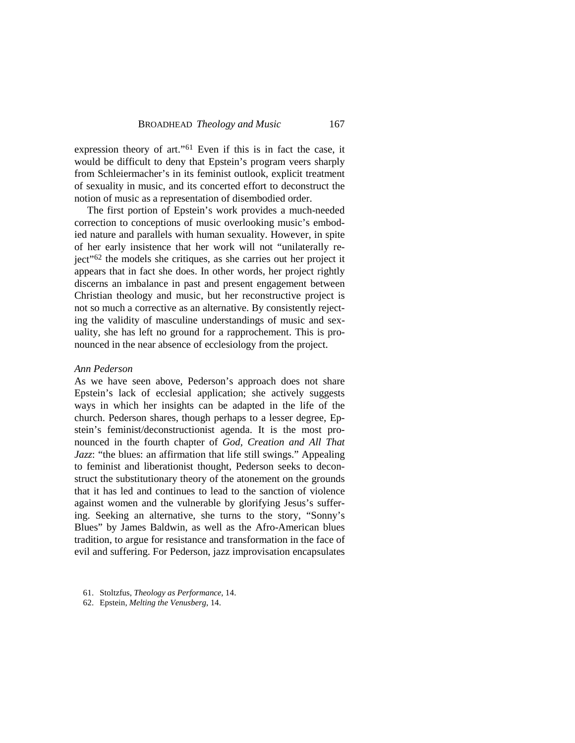expression theory of art."<sup>[61](#page-19-0)</sup> Even if this is in fact the case, it would be difficult to deny that Epstein's program veers sharply from Schleiermacher's in its feminist outlook, explicit treatment of sexuality in music, and its concerted effort to deconstruct the notion of music as a representation of disembodied order.

The first portion of Epstein's work provides a much-needed correction to conceptions of music overlooking music's embodied nature and parallels with human sexuality. However, in spite of her early insistence that her work will not "unilaterally reject" [62](#page-19-1) the models she critiques, as she carries out her project it appears that in fact she does. In other words, her project rightly discerns an imbalance in past and present engagement between Christian theology and music, but her reconstructive project is not so much a corrective as an alternative. By consistently rejecting the validity of masculine understandings of music and sexuality, she has left no ground for a rapprochement. This is pronounced in the near absence of ecclesiology from the project.

#### *Ann Pederson*

As we have seen above, Pederson's approach does not share Epstein's lack of ecclesial application; she actively suggests ways in which her insights can be adapted in the life of the church. Pederson shares, though perhaps to a lesser degree, Epstein's feminist/deconstructionist agenda. It is the most pronounced in the fourth chapter of *God, Creation and All That Jazz*: "the blues: an affirmation that life still swings." Appealing to feminist and liberationist thought, Pederson seeks to deconstruct the substitutionary theory of the atonement on the grounds that it has led and continues to lead to the sanction of violence against women and the vulnerable by glorifying Jesus's suffering. Seeking an alternative, she turns to the story, "Sonny's Blues" by James Baldwin, as well as the Afro-American blues tradition, to argue for resistance and transformation in the face of evil and suffering. For Pederson, jazz improvisation encapsulates

<span id="page-19-0"></span><sup>61.</sup> Stoltzfus, *Theology as Performance*, 14.

<span id="page-19-1"></span><sup>62.</sup> Epstein, *Melting the Venusberg*, 14.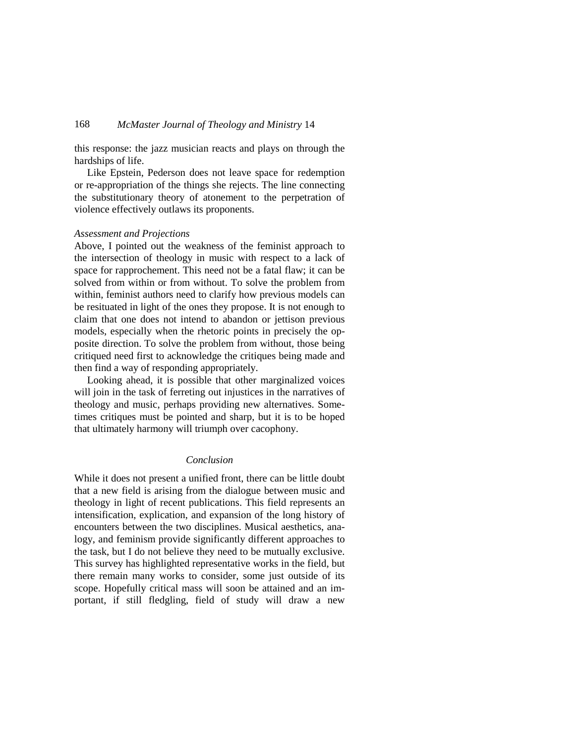this response: the jazz musician reacts and plays on through the hardships of life.

Like Epstein, Pederson does not leave space for redemption or re-appropriation of the things she rejects. The line connecting the substitutionary theory of atonement to the perpetration of violence effectively outlaws its proponents.

### *Assessment and Projections*

Above, I pointed out the weakness of the feminist approach to the intersection of theology in music with respect to a lack of space for rapprochement. This need not be a fatal flaw; it can be solved from within or from without. To solve the problem from within, feminist authors need to clarify how previous models can be resituated in light of the ones they propose. It is not enough to claim that one does not intend to abandon or jettison previous models, especially when the rhetoric points in precisely the opposite direction. To solve the problem from without, those being critiqued need first to acknowledge the critiques being made and then find a way of responding appropriately.

Looking ahead, it is possible that other marginalized voices will join in the task of ferreting out injustices in the narratives of theology and music, perhaps providing new alternatives. Sometimes critiques must be pointed and sharp, but it is to be hoped that ultimately harmony will triumph over cacophony.

## *Conclusion*

While it does not present a unified front, there can be little doubt that a new field is arising from the dialogue between music and theology in light of recent publications. This field represents an intensification, explication, and expansion of the long history of encounters between the two disciplines. Musical aesthetics, analogy, and feminism provide significantly different approaches to the task, but I do not believe they need to be mutually exclusive. This survey has highlighted representative works in the field, but there remain many works to consider, some just outside of its scope. Hopefully critical mass will soon be attained and an important, if still fledgling, field of study will draw a new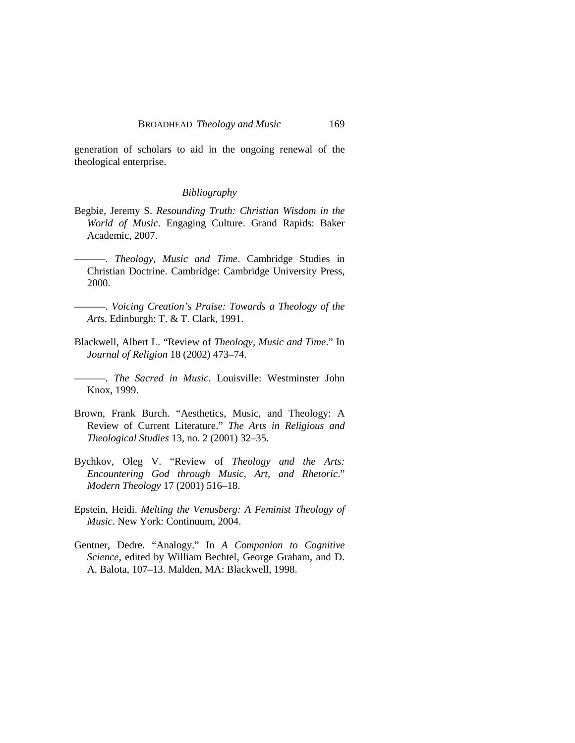generation of scholars to aid in the ongoing renewal of the theological enterprise.

### *Bibliography*

- Begbie, Jeremy S. *Resounding Truth: Christian Wisdom in the World of Music*. Engaging Culture. Grand Rapids: Baker Academic, 2007.
- ———. *Theology, Music and Time*. Cambridge Studies in Christian Doctrine. Cambridge: Cambridge University Press, 2000.
- ———. *Voicing Creation's Praise: Towards a Theology of the Arts*. Edinburgh: T. & T. Clark, 1991.
- Blackwell, Albert L. "Review of *Theology, Music and Time*." In *Journal of Religion* 18 (2002) 473–74.

———. *The Sacred in Music*. Louisville: Westminster John Knox, 1999.

- Brown, Frank Burch. "Aesthetics, Music, and Theology: A Review of Current Literature." *The Arts in Religious and Theological Studies* 13, no. 2 (2001) 32–35.
- Bychkov, Oleg V. "Review of *Theology and the Arts: Encountering God through Music, Art, and Rhetoric*." *Modern Theology* 17 (2001) 516–18.
- Epstein, Heidi. *Melting the Venusberg: A Feminist Theology of Music*. New York: Continuum, 2004.
- Gentner, Dedre. "Analogy." In *A Companion to Cognitive Science*, edited by William Bechtel, George Graham, and D. A. Balota, 107–13. Malden, MA: Blackwell, 1998.